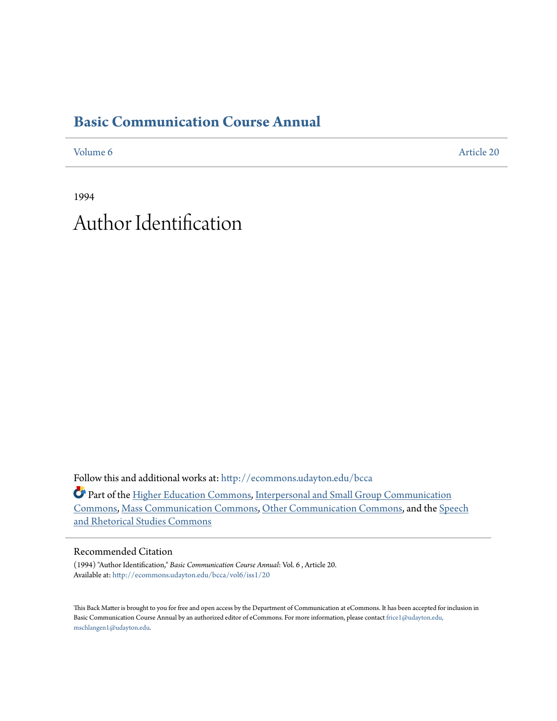# **[Basic Communication Course Annual](http://ecommons.udayton.edu/bcca?utm_source=ecommons.udayton.edu%2Fbcca%2Fvol6%2Fiss1%2F20&utm_medium=PDF&utm_campaign=PDFCoverPages)**

[Volume 6](http://ecommons.udayton.edu/bcca/vol6?utm_source=ecommons.udayton.edu%2Fbcca%2Fvol6%2Fiss1%2F20&utm_medium=PDF&utm_campaign=PDFCoverPages) [Article 20](http://ecommons.udayton.edu/bcca/vol6/iss1/20?utm_source=ecommons.udayton.edu%2Fbcca%2Fvol6%2Fiss1%2F20&utm_medium=PDF&utm_campaign=PDFCoverPages)

1994 Author Identification

Follow this and additional works at: [http://ecommons.udayton.edu/bcca](http://ecommons.udayton.edu/bcca?utm_source=ecommons.udayton.edu%2Fbcca%2Fvol6%2Fiss1%2F20&utm_medium=PDF&utm_campaign=PDFCoverPages)

Part of the [Higher Education Commons](http://network.bepress.com/hgg/discipline/1245?utm_source=ecommons.udayton.edu%2Fbcca%2Fvol6%2Fiss1%2F20&utm_medium=PDF&utm_campaign=PDFCoverPages), [Interpersonal and Small Group Communication](http://network.bepress.com/hgg/discipline/332?utm_source=ecommons.udayton.edu%2Fbcca%2Fvol6%2Fiss1%2F20&utm_medium=PDF&utm_campaign=PDFCoverPages) [Commons,](http://network.bepress.com/hgg/discipline/332?utm_source=ecommons.udayton.edu%2Fbcca%2Fvol6%2Fiss1%2F20&utm_medium=PDF&utm_campaign=PDFCoverPages) [Mass Communication Commons,](http://network.bepress.com/hgg/discipline/334?utm_source=ecommons.udayton.edu%2Fbcca%2Fvol6%2Fiss1%2F20&utm_medium=PDF&utm_campaign=PDFCoverPages) [Other Communication Commons](http://network.bepress.com/hgg/discipline/339?utm_source=ecommons.udayton.edu%2Fbcca%2Fvol6%2Fiss1%2F20&utm_medium=PDF&utm_campaign=PDFCoverPages), and the [Speech](http://network.bepress.com/hgg/discipline/338?utm_source=ecommons.udayton.edu%2Fbcca%2Fvol6%2Fiss1%2F20&utm_medium=PDF&utm_campaign=PDFCoverPages) [and Rhetorical Studies Commons](http://network.bepress.com/hgg/discipline/338?utm_source=ecommons.udayton.edu%2Fbcca%2Fvol6%2Fiss1%2F20&utm_medium=PDF&utm_campaign=PDFCoverPages)

## Recommended Citation

(1994) "Author Identification," *Basic Communication Course Annual*: Vol. 6 , Article 20. Available at: [http://ecommons.udayton.edu/bcca/vol6/iss1/20](http://ecommons.udayton.edu/bcca/vol6/iss1/20?utm_source=ecommons.udayton.edu%2Fbcca%2Fvol6%2Fiss1%2F20&utm_medium=PDF&utm_campaign=PDFCoverPages)

This Back Matter is brought to you for free and open access by the Department of Communication at eCommons. It has been accepted for inclusion in Basic Communication Course Annual by an authorized editor of eCommons. For more information, please contact [frice1@udayton.edu,](mailto:frice1@udayton.edu,%20mschlangen1@udayton.edu) [mschlangen1@udayton.edu.](mailto:frice1@udayton.edu,%20mschlangen1@udayton.edu)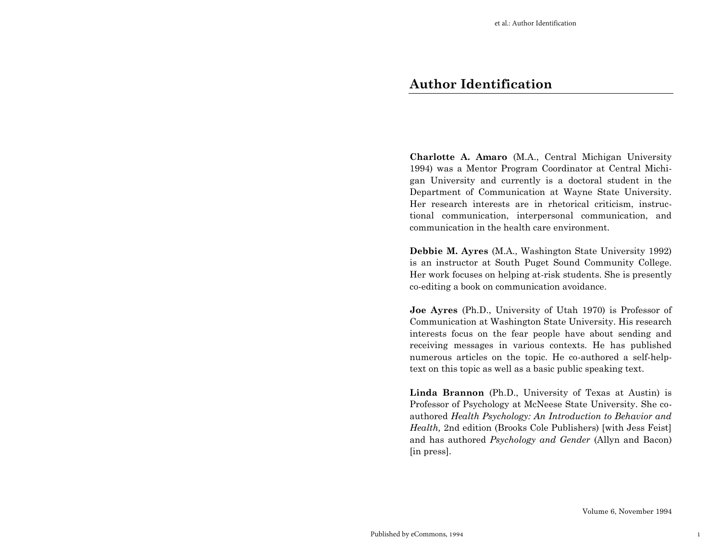**Charlotte A. Amaro** (M.A., Central Michigan University 1994) was a Mentor Program Coordinator at Central Michigan University and currently is a doctoral student in the Department of Communication at Wayne State University. Her research interests are in rhetorical criticism, instructional communication, interpersonal communication, and communication in the health care environment.

**Debbie M. Ayres** (M.A., Washington State University 1992) is an instructor at South Puget Sound Community College. Her work focuses on helping at-risk students. She is presently co-editing a book on communication avoidance.

**Joe Ayres** (Ph.D., University of Utah 1970) is Professor of Communication at Washington State University. His research interests focus on the fear people have about sending and receiving messages in various contexts. He has published numerous articles on the topic. He co-authored a self-helptext on this topic as well as a basic public speaking text.

**Linda Brannon** (Ph.D., University of Texas at Austin) is Professor of Psychology at McNeese State University. She coauthored *Health Psychology: An Introduction to Behavior and Health,* 2nd edition (Brooks Cole Publishers) [with Jess Feist] and has authored *Psychology and Gender* (Allyn and Bacon) [in press].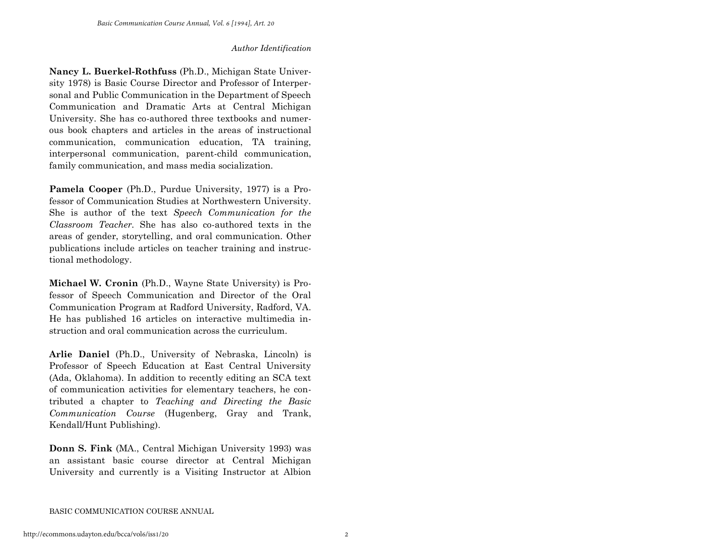**Nancy L. Buerkel-Rothfuss** (Ph.D., Michigan State University 1978) is Basic Course Director and Professor of Interpersonal and Public Communication in the Department of Speech Communication and Dramatic Arts at Central Michigan University. She has co-authored three textbooks and numerous book chapters and articles in the areas of instructional communication, communication education, TA training, interpersonal communication, parent-child communication, family communication, and mass media socialization.

**Pamela Cooper** (Ph.D., Purdue University, 1977) is a Professor of Communication Studies at Northwestern University. She is author of the text *Speech Communication for the Classroom Teacher.* She has also co-authored texts in the areas of gender, storytelling, and oral communication. Other publications include articles on teacher training and instructional methodology.

**Michael W. Cronin** (Ph.D., Wayne State University) is Professor of Speech Communication and Director of the Oral Communication Program at Radford University, Radford, VA. He has published 16 articles on interactive multimedia instruction and oral communication across the curriculum.

**Arlie Daniel** (Ph.D., University of Nebraska, Lincoln) is Professor of Speech Education at East Central University (Ada, Oklahoma). In addition to recently editing an SCA text of communication activities for elementary teachers, he contributed a chapter to *Teaching and Directing the Basic Communication Course* (Hugenberg, Gray and Trank, Kendall/Hunt Publishing).

**Donn S. Fink** (MA., Central Michigan University 1993) was an assistant basic course director at Central Michigan University and currently is a Visiting Instructor at Albion

BASIC COMMUNICATION COURSE ANNUAL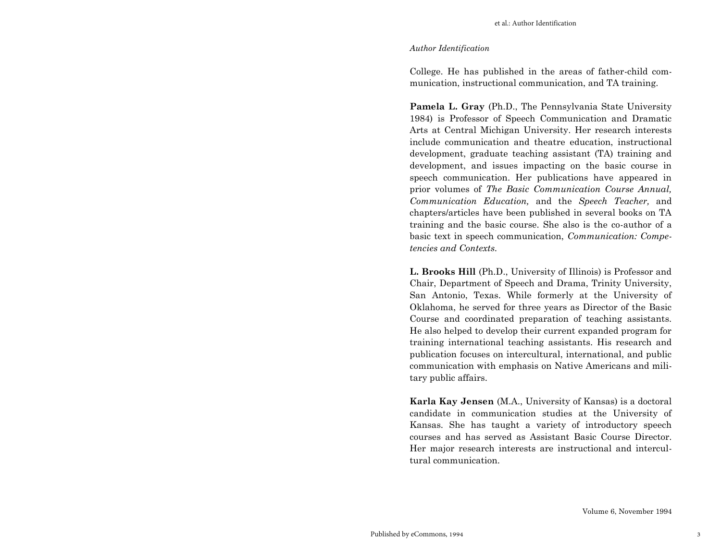College. He has published in the areas of father-child communication, instructional communication, and TA training.

**Pamela L. Gray** (Ph.D., The Pennsylvania State University 1984) is Professor of Speech Communication and Dramatic Arts at Central Michigan University. Her research interests include communication and theatre education, instructional development, graduate teaching assistant (TA) training and development, and issues impacting on the basic course in speech communication. Her publications have appeared in prior volumes of *The Basic Communication Course Annual, Communication Education,* and the *Speech Teacher,* and chapters/articles have been published in several books on TA training and the basic course. She also is the co-author of a basic text in speech communication, *Communication: Competencies and Contexts.* 

**L. Brooks Hill** (Ph.D., University of Illinois) is Professor and Chair, Department of Speech and Drama, Trinity University, San Antonio, Texas. While formerly at the University of Oklahoma, he served for three years as Director of the Basic Course and coordinated preparation of teaching assistants. He also helped to develop their current expanded program for training international teaching assistants. His research and publication focuses on intercultural, international, and public communication with emphasis on Native Americans and military public affairs.

**Karla Kay Jensen** (M.A., University of Kansas) is a doctoral candidate in communication studies at the University of Kansas. She has taught a variety of introductory speech courses and has served as Assistant Basic Course Director. Her major research interests are instructional and intercultural communication.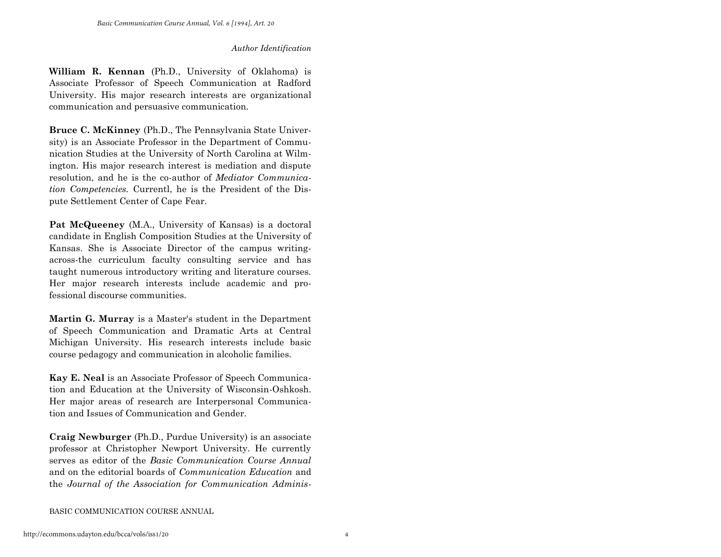**William R. Kennan** (Ph.D., University of Oklahoma) is Associate Professor of Speech Communication at Radford University. His major research interests are organizational communication and persuasive communication.

**Bruce C. McKinney** (Ph.D., The Pennsylvania State University) is an Associate Professor in the Department of Communication Studies at the University of North Carolina at Wilmington. His major research interest is mediation and dispute resolution, and he is the co-author of *Mediator Communication Competencies.* Currentl, he is the President of the Dispute Settlement Center of Cape Fear.

**Pat McQueeney** (M.A., University of Kansas) is a doctoral candidate in English Composition Studies at the University of Kansas. She is Associate Director of the campus writingacross-the curriculum faculty consulting service and has taught numerous introductory writing and literature courses. Her major research interests include academic and professional discourse communities.

**Martin G. Murray** is a Master's student in the Department of Speech Communication and Dramatic Arts at Central Michigan University. His research interests include basic course pedagogy and communication in alcoholic families.

**Kay E. Neal** is an Associate Professor of Speech Communication and Education at the University of Wisconsin-Oshkosh. Her major areas of research are Interpersonal Communication and Issues of Communication and Gender.

**Craig Newburger** (Ph.D., Purdue University) is an associate professor at Christopher Newport University. He currently serves as editor of the *Basic Communication Course Annual*  and on the editorial boards of *Communication Education* and the *Journal of the Association for Communication Adminis-*

BASIC COMMUNICATION COURSE ANNUAL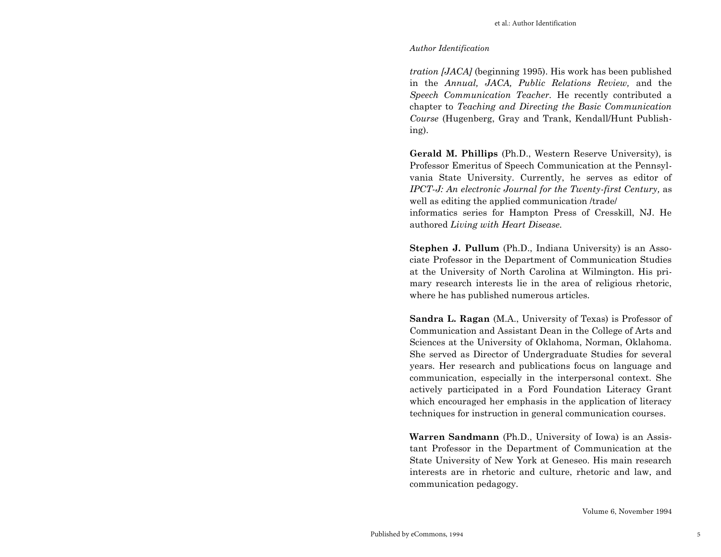*tration [JACA]* (beginning 1995). His work has been published in the *Annual, JACA, Public Relations Review,* and the *Speech Communication Teacher.* He recently contributed a chapter to *Teaching and Directing the Basic Communication Course* (Hugenberg, Gray and Trank, Kendall/Hunt Publishing).

**Gerald M. Phillips** (Ph.D., Western Reserve University), is Professor Emeritus of Speech Communication at the Pennsylvania State University. Currently, he serves as editor of *IPCT-J: An electronic Journal for the Twenty-first Century,* as well as editing the applied communication /trade/ informatics series for Hampton Press of Cresskill, NJ. He authored *Living with Heart Disease.*

**Stephen J. Pullum** (Ph.D., Indiana University) is an Associate Professor in the Department of Communication Studies at the University of North Carolina at Wilmington. His primary research interests lie in the area of religious rhetoric, where he has published numerous articles.

**Sandra L. Ragan** (M.A., University of Texas) is Professor of Communication and Assistant Dean in the College of Arts and Sciences at the University of Oklahoma, Norman, Oklahoma. She served as Director of Undergraduate Studies for several years. Her research and publications focus on language and communication, especially in the interpersonal context. She actively participated in a Ford Foundation Literacy Grant which encouraged her emphasis in the application of literacy techniques for instruction in general communication courses.

**Warren Sandmann** (Ph.D., University of Iowa) is an Assistant Professor in the Department of Communication at the State University of New York at Geneseo. His main research interests are in rhetoric and culture, rhetoric and law, and communication pedagogy.